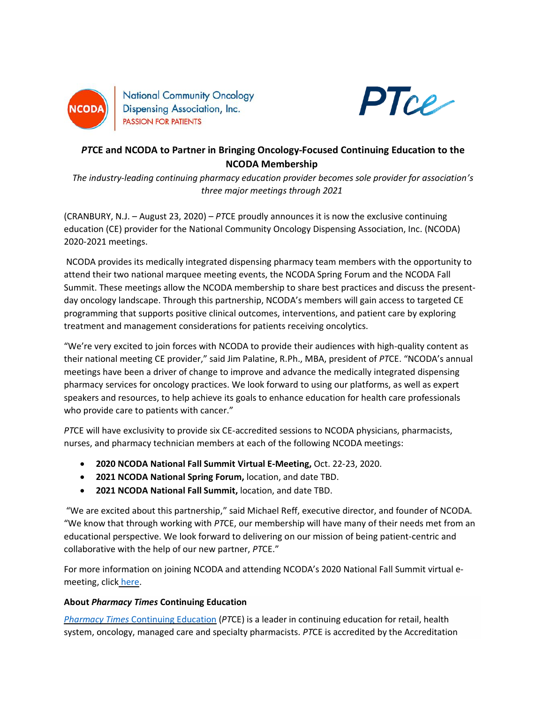

**National Community Oncology** Dispensing Association, Inc. **PASSION FOR PATIENTS** 



## *PT***CE and NCODA to Partner in Bringing Oncology-Focused Continuing Education to the NCODA Membership**

*The industry-leading continuing pharmacy education provider becomes sole provider for association's three major meetings through 2021*

(CRANBURY, N.J. – August 23, 2020) – *PT*CE proudly announces it is now the exclusive continuing education (CE) provider for the National Community Oncology Dispensing Association, Inc. (NCODA) 2020-2021 meetings.

NCODA provides its medically integrated dispensing pharmacy team members with the opportunity to attend their two national marquee meeting events, the NCODA Spring Forum and the NCODA Fall Summit. These meetings allow the NCODA membership to share best practices and discuss the presentday oncology landscape. Through this partnership, NCODA's members will gain access to targeted CE programming that supports positive clinical outcomes, interventions, and patient care by exploring treatment and management considerations for patients receiving oncolytics.

"We're very excited to join forces with NCODA to provide their audiences with high-quality content as their national meeting CE provider," said Jim Palatine, R.Ph., MBA, president of *PT*CE. "NCODA's annual meetings have been a driver of change to improve and advance the medically integrated dispensing pharmacy services for oncology practices. We look forward to using our platforms, as well as expert speakers and resources, to help achieve its goals to enhance education for health care professionals who provide care to patients with cancer."

*PT*CE will have exclusivity to provide six CE-accredited sessions to NCODA physicians, pharmacists, nurses, and pharmacy technician members at each of the following NCODA meetings:

- **2020 NCODA National Fall Summit Virtual E-Meeting,** Oct. 22-23, 2020.
- **2021 NCODA National Spring Forum,** location, and date TBD.
- **2021 NCODA National Fall Summit,** location, and date TBD.

"We are excited about this partnership," said Michael Reff, executive director, and founder of NCODA. "We know that through working with *PT*CE, our membership will have many of their needs met from an educational perspective. We look forward to delivering on our mission of being patient-centric and collaborative with the help of our new partner, *PT*CE."

For more information on joining NCODA and attending NCODA's 2020 National Fall Summit virtual emeeting, click [here.](https://www.ncoda.org/summit/)

## **About** *Pharmacy Times* **Continuing Education**

*Pharmacy Times* [Continuing Education](https://www.pharmacytimes.org/) (*PT*CE) is a leader in continuing education for retail, health system, oncology, managed care and specialty pharmacists. *PT*CE is accredited by the Accreditation